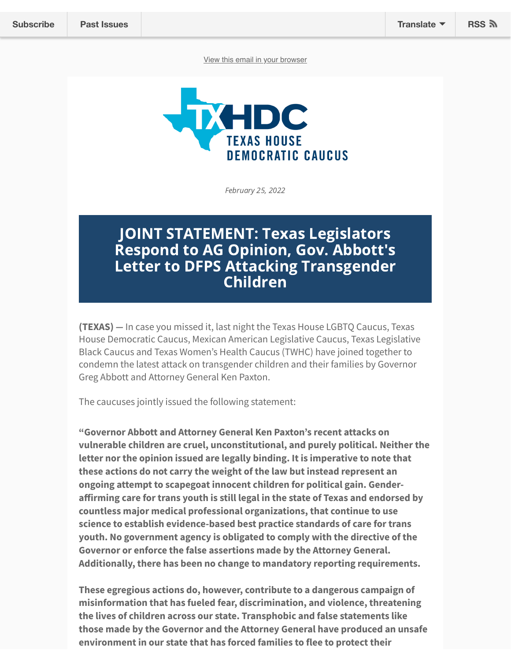[View this email in your browser](https://mailchi.mp/texashousedems/july29pressconference-20157752?e=572a752b95)



February 25, 2022

## JOINT STATEMENT: Texas Legislators Respond to AG Opinion, Gov. Abbott's Letter to DFPS Attacking Transgender Children

**(TEXAS)** *—* In case you missed it, last night the Texas House LGBTQ Caucus, Texas House Democratic Caucus, Mexican American Legislative Caucus, Texas Legislative Black Caucus and Texas Women's Health Caucus (TWHC) have joined together to condemn the latest attack on transgender children and their families by Governor Greg Abbott and Attorney General Ken Paxton.

The caucuses jointly issued the following statement:

**"Governor Abbott and Attorney General Ken Paxton's recent attacks on vulnerable children are cruel, unconstitutional, and purely political. Neither the letter nor the opinion issued are legally binding. It is imperative to note that these actions do not carry the weight of the law but instead represent an ongoing attempt to scapegoat innocent children for political gain. Genderaffirming care for trans youth is still legal in the state of Texas and endorsed by countless major medical professional organizations, that continue to use science to establish evidence-based best practice standards of care for trans youth. No government agency is obligated to comply with the directive of the Governor or enforce the false assertions made by the Attorney General. Additionally, there has been no change to mandatory reporting requirements.**

**These egregious actions do, however, contribute to a dangerous campaign of misinformation that has fueled fear, discrimination, and violence, threatening the lives of children across our state. Transphobic and false statements like those made by the Governor and the Attorney General have produced an unsafe environment in our state that has forced families to flee to protect their**